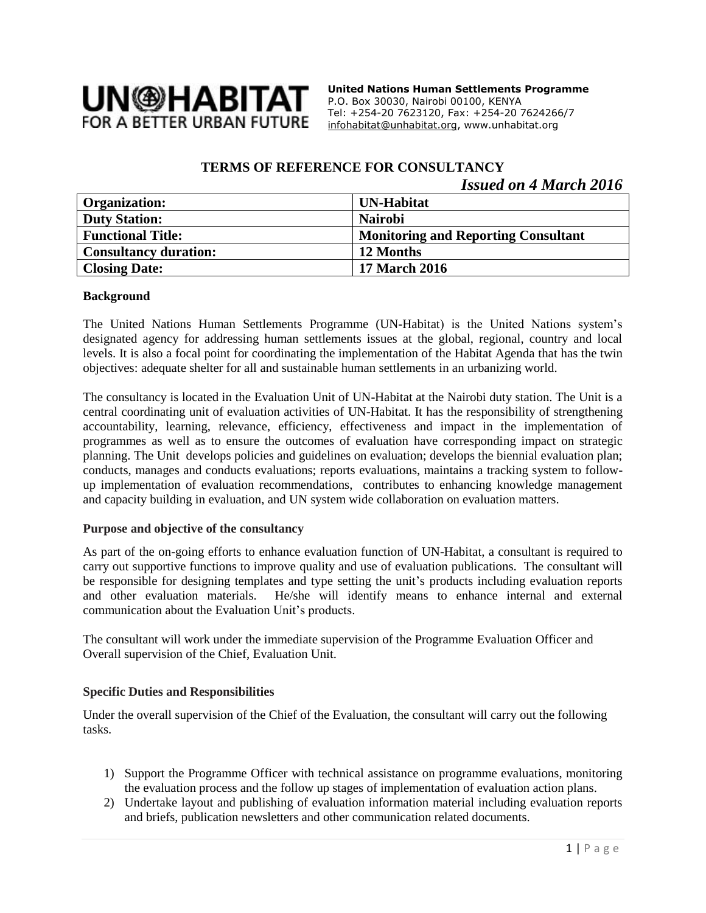

**United Nations Human Settlements Programme** P.O. Box 30030, Nairobi 00100, KENYA Tel: +254-20 7623120, Fax: +254-20 7624266/7 [infohabitat@unhabitat.org,](mailto:infohabitat@unhabitat.org) www.unhabitat.org

# **TERMS OF REFERENCE FOR CONSULTANCY**

## *Issued on 4 March 2016*

| <b>Organization:</b>         | <b>UN-Habitat</b>                          |
|------------------------------|--------------------------------------------|
| <b>Duty Station:</b>         | <b>Nairobi</b>                             |
| <b>Functional Title:</b>     | <b>Monitoring and Reporting Consultant</b> |
| <b>Consultancy duration:</b> | 12 Months                                  |
| <b>Closing Date:</b>         | 17 March 2016                              |

#### **Background**

The United Nations Human Settlements Programme (UN-Habitat) is the United Nations system's designated agency for addressing human settlements issues at the global, regional, country and local levels. It is also a focal point for coordinating the implementation of the Habitat Agenda that has the twin objectives: adequate shelter for all and sustainable human settlements in an urbanizing world.

The consultancy is located in the Evaluation Unit of UN-Habitat at the Nairobi duty station. The Unit is a central coordinating unit of evaluation activities of UN-Habitat. It has the responsibility of strengthening accountability, learning, relevance, efficiency, effectiveness and impact in the implementation of programmes as well as to ensure the outcomes of evaluation have corresponding impact on strategic planning. The Unit develops policies and guidelines on evaluation; develops the biennial evaluation plan; conducts, manages and conducts evaluations; reports evaluations, maintains a tracking system to followup implementation of evaluation recommendations, contributes to enhancing knowledge management and capacity building in evaluation, and UN system wide collaboration on evaluation matters.

#### **Purpose and objective of the consultancy**

As part of the on-going efforts to enhance evaluation function of UN-Habitat, a consultant is required to carry out supportive functions to improve quality and use of evaluation publications. The consultant will be responsible for designing templates and type setting the unit's products including evaluation reports and other evaluation materials. He/she will identify means to enhance internal and external communication about the Evaluation Unit's products.

The consultant will work under the immediate supervision of the Programme Evaluation Officer and Overall supervision of the Chief, Evaluation Unit.

#### **Specific Duties and Responsibilities**

Under the overall supervision of the Chief of the Evaluation, the consultant will carry out the following tasks.

- 1) Support the Programme Officer with technical assistance on programme evaluations, monitoring the evaluation process and the follow up stages of implementation of evaluation action plans.
- 2) Undertake layout and publishing of evaluation information material including evaluation reports and briefs, publication newsletters and other communication related documents.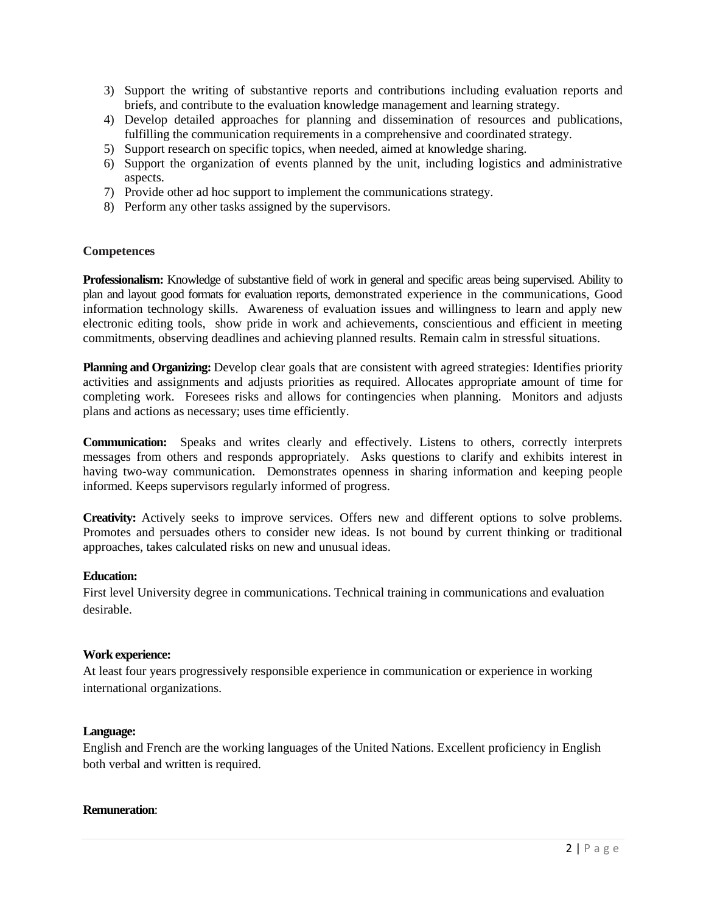- 3) Support the writing of substantive reports and contributions including evaluation reports and briefs, and contribute to the evaluation knowledge management and learning strategy.
- 4) Develop detailed approaches for planning and dissemination of resources and publications, fulfilling the communication requirements in a comprehensive and coordinated strategy.
- 5) Support research on specific topics, when needed, aimed at knowledge sharing.
- 6) Support the organization of events planned by the unit, including logistics and administrative aspects.
- 7) Provide other ad hoc support to implement the communications strategy.
- 8) Perform any other tasks assigned by the supervisors.

#### **Competences**

**Professionalism:** Knowledge of substantive field of work in general and specific areas being supervised. Ability to plan and layout good formats for evaluation reports, demonstrated experience in the communications, Good information technology skills. Awareness of evaluation issues and willingness to learn and apply new electronic editing tools, show pride in work and achievements, conscientious and efficient in meeting commitments, observing deadlines and achieving planned results. Remain calm in stressful situations.

**Planning and Organizing:** Develop clear goals that are consistent with agreed strategies: Identifies priority activities and assignments and adjusts priorities as required. Allocates appropriate amount of time for completing work. Foresees risks and allows for contingencies when planning. Monitors and adjusts plans and actions as necessary; uses time efficiently.

**Communication:** Speaks and writes clearly and effectively. Listens to others, correctly interprets messages from others and responds appropriately. Asks questions to clarify and exhibits interest in having two-way communication. Demonstrates openness in sharing information and keeping people informed. Keeps supervisors regularly informed of progress.

**Creativity:** Actively seeks to improve services. Offers new and different options to solve problems. Promotes and persuades others to consider new ideas. Is not bound by current thinking or traditional approaches, takes calculated risks on new and unusual ideas.

#### **Education:**

First level University degree in communications. Technical training in communications and evaluation desirable.

#### **Work experience:**

At least four years progressively responsible experience in communication or experience in working international organizations.

#### **Language:**

English and French are the working languages of the United Nations. Excellent proficiency in English both verbal and written is required.

#### **Remuneration**: